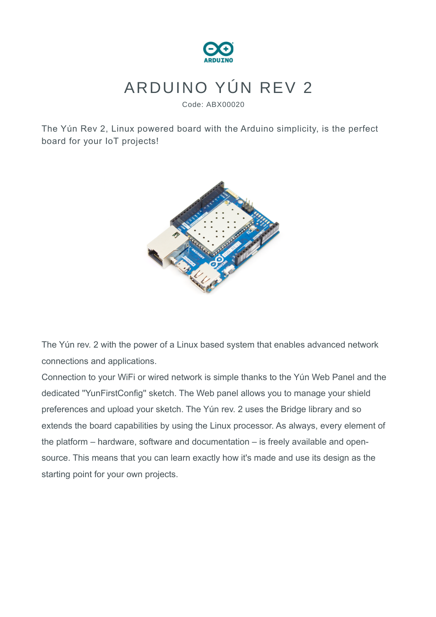

## ARDUINO YÚN REV 2

Code: ABX00020

The Yún Rev 2, Linux powered board with the Arduino simplicity, is the perfect board for your IoT projects!



The Yún rev. 2 with the power of a Linux based system that enables advanced network connections and applications.

Connection to your WiFi or wired network is simple thanks to the Yún Web Panel and the dedicated ''YunFirstConfig'' sketch. The Web panel allows you to manage your shield preferences and upload your sketch. The Yún rev. 2 uses the Bridge library and so extends the board capabilities by using the Linux processor. As always, every element of the platform – hardware, software and documentation – is freely available and opensource. This means that you can learn exactly how it's made and use its design as the starting point for your own projects.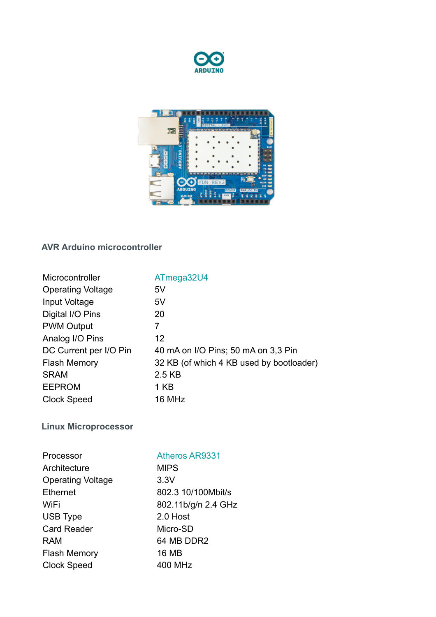



## **AVR Arduino microcontroller**

| Microcontroller          | ATmega32U4                               |
|--------------------------|------------------------------------------|
| <b>Operating Voltage</b> | 5V                                       |
| Input Voltage            | 5V                                       |
| Digital I/O Pins         | 20                                       |
| <b>PWM Output</b>        | 7                                        |
| Analog I/O Pins          | $12 \overline{ }$                        |
| DC Current per I/O Pin   | 40 mA on I/O Pins; 50 mA on 3,3 Pin      |
| <b>Flash Memory</b>      | 32 KB (of which 4 KB used by bootloader) |
| <b>SRAM</b>              | 2.5 KB                                   |
| <b>EEPROM</b>            | 1 KB                                     |
| Clock Speed              | 16 MHz                                   |
|                          |                                          |

**Linux Microprocessor**

| Processor                | <b>Atheros AR9331</b> |
|--------------------------|-----------------------|
| Architecture             | <b>MIPS</b>           |
| <b>Operating Voltage</b> | 3.3V                  |
| Ethernet                 | 802.3 10/100Mbit/s    |
| WiFi                     | 802.11b/g/n 2.4 GHz   |
| <b>USB Type</b>          | 2.0 Host              |
| <b>Card Reader</b>       | Micro-SD              |
| RAM                      | 64 MB DDR2            |
| <b>Flash Memory</b>      | 16 MB                 |
| <b>Clock Speed</b>       | 400 MHz               |